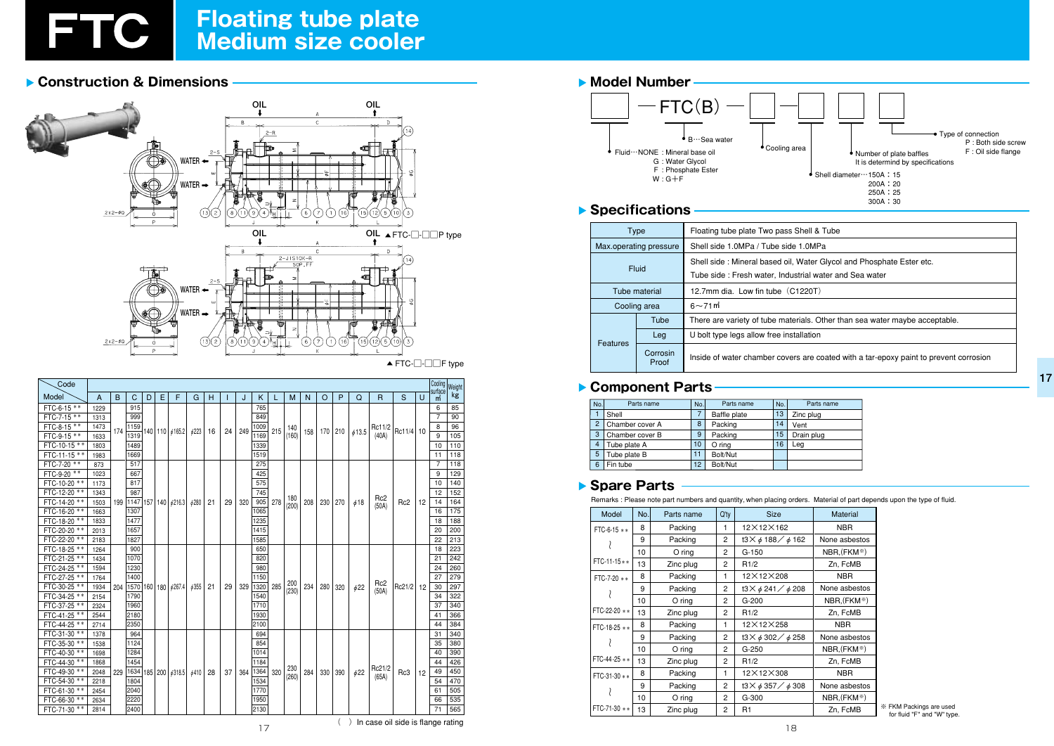

# Floating tube plate<br>Medium size cooler

## ▶ Construction & Dimensions



| Code         |      |     |                      |   |    |                           |       |    |    |      |      |     |              |     |       |     |           |                 |                 |    | Cooling                   | Weight |    |     |
|--------------|------|-----|----------------------|---|----|---------------------------|-------|----|----|------|------|-----|--------------|-----|-------|-----|-----------|-----------------|-----------------|----|---------------------------|--------|----|-----|
| Model        | Α    | B   | C                    | D | E. | F                         | G     | н  |    | J    | Κ    |     | M            | N   | O     | P   | Q         | $\mathsf{R}$    | S               | U  | surface<br>$\mathsf{m}^2$ | kg     |    |     |
| FTC-6-15 **  | 1229 |     | 915                  |   |    |                           |       |    |    |      | 765  |     |              |     |       |     |           |                 |                 |    | 6                         | 85     |    |     |
| FTC-7-15 **  | 1313 | 174 | 999                  |   |    |                           |       |    |    | 249  | 849  |     | 140          |     |       |     |           |                 |                 |    | 7                         | 90     |    |     |
| FTC-8-15 **  | 1473 |     | 1159                 |   |    |                           |       |    |    |      | 1009 | 215 |              |     |       |     |           | Rc11/2          |                 |    | 8                         | 96     |    |     |
| FTC-9-15 **  | 1633 |     | 1319                 |   |    | 140   110   6165.2        | 6223  | 16 | 24 |      | 1169 |     | (160)        | 158 | 170 l | 210 | 613.5     | (40A)           | Rc11/4          | 10 | 9                         | 105    |    |     |
| FTC-10-15 ** | 1803 |     | 1489                 |   |    |                           |       |    |    |      | 1339 |     |              |     |       |     |           |                 |                 |    | 10                        | 110    |    |     |
| FTC-11-15 ** | 1983 |     | 1669                 |   |    |                           |       |    |    |      | 1519 |     |              |     |       |     |           |                 |                 |    | 11                        | 118    |    |     |
| FTC-7-20 **  | 873  |     | 517                  |   |    |                           |       |    |    |      | 275  |     |              |     |       |     |           |                 |                 |    | 7                         | 118    |    |     |
| FTC-9-20 **  | 1023 |     | 667                  |   |    |                           |       |    |    |      | 425  |     |              |     |       |     |           |                 |                 |    | 9                         | 129    |    |     |
| FTC-10-20 ** | 1173 |     | 817                  |   |    |                           |       |    |    |      | 575  |     |              |     |       |     |           |                 |                 |    | 10                        | 140    |    |     |
| FTC-12-20 ** | 1343 |     | 987                  |   |    |                           |       |    |    |      | 745  |     |              |     |       |     |           | Rc <sub>2</sub> |                 |    | 12                        | 152    |    |     |
| FTC-14-20 ** | 1503 | 199 |                      |   |    | 1147   157   140   6216.3 | φ280  | 21 | 29 | 320  | 905  | 278 | 180<br>(200) | 208 | 230   | 270 | $\phi$ 18 | (50A)           | Rc <sub>2</sub> | 12 | 14                        | 164    |    |     |
| FTC-16-20 ** | 1663 |     | 1307                 |   |    |                           |       |    |    |      | 1065 |     |              |     |       |     |           |                 |                 |    | 16                        | 175    |    |     |
| FTC-18-20 ** | 1833 |     | 1477                 |   |    |                           |       |    |    |      | 1235 |     |              |     |       |     |           |                 |                 |    | 18                        | 188    |    |     |
| FTC-20-20 ** | 2013 |     | 1657                 |   |    |                           |       |    |    |      | 1415 |     |              |     |       |     |           |                 |                 |    | 20                        | 200    |    |     |
| FTC-22-20 ** | 2183 |     | 1827                 |   |    |                           |       |    |    |      | 1585 |     |              |     |       |     |           |                 |                 |    | 22                        | 213    |    |     |
| FTC-18-25 ** | 1264 |     | 900                  |   |    |                           |       |    |    |      | 650  |     |              |     |       |     |           |                 |                 |    | 18                        | 223    |    |     |
| FTC-21-25 ** | 1434 |     | 1070                 |   |    |                           |       |    |    |      | 820  |     |              |     |       |     |           |                 |                 |    | 21                        | 242    |    |     |
| FTC-24-25 ** | 1594 |     | 1230                 |   |    |                           |       |    |    |      | 980  |     |              |     |       |     |           |                 |                 |    | 24                        | 260    |    |     |
| FTC-27-25 ** | 1764 |     | 1400                 |   |    |                           |       |    |    |      | 1150 |     | 200          |     |       |     |           | Rc <sub>2</sub> |                 |    | 27                        | 279    |    |     |
| FTC-30-25 ** | 1934 | 204 | 1570                 |   |    | 160   180   4267.4        | 6355  | 21 | 29 | 329  | 1320 | 285 | (230)        | 234 | 280   | 320 | $\phi$ 22 | (50A)           | Rc21/2          | 12 | 30                        | 297    |    |     |
| FTC-34-25 ** | 2154 |     | 1790                 |   |    |                           |       |    |    |      | 1540 |     |              |     |       |     |           |                 |                 |    | 34                        | 322    |    |     |
| FTC-37-25 ** | 2324 |     | 1960                 |   |    |                           |       |    |    |      | 1710 |     |              |     |       |     |           |                 |                 |    | 37                        | 340    |    |     |
| FTC-41-25 ** | 2544 |     | 2180                 |   |    |                           |       |    |    |      | 1930 |     |              |     |       |     |           |                 |                 |    | 41                        | 366    |    |     |
| FTC-44-25 ** | 2714 |     | 2350                 |   |    |                           |       |    |    |      | 2100 |     |              |     |       |     |           |                 |                 |    | 44                        | 384    |    |     |
| FTC-31-30 ** | 1378 |     | 964                  |   |    |                           |       |    |    |      | 694  |     |              |     |       |     |           |                 |                 |    | 31                        | 340    |    |     |
| FTC-35-30 ** | 1538 |     | 1124<br>1284<br>1454 |   |    |                           |       |    |    |      |      |     | 854          |     |       |     |           |                 |                 |    |                           |        | 35 | 380 |
| FTC-40-30 ** | 1698 |     |                      |   |    |                           |       |    |    |      | 1014 |     |              |     |       |     |           |                 |                 |    | 40                        | 390    |    |     |
| FTC-44-30 ** | 1868 |     |                      |   |    |                           |       |    |    | 1184 |      | 230 |              |     |       |     | Rc21/2    |                 |                 | 44 | 426                       |        |    |     |
| FTC-49-30 ** | 2048 | 229 | 1634                 |   |    | 185   200   $\phi$ 318.5  | \$410 | 28 | 37 | 364  | 1364 | 320 | (260)        | 284 | 330   | 390 | $\phi$ 22 | (65A)           | Rc3             | 12 | 49                        | 450    |    |     |
| FTC-54-30 ** | 2218 |     | 1804                 |   |    |                           |       |    |    |      | 1534 |     |              |     |       |     |           |                 |                 |    | 54                        | 470    |    |     |
| FTC-61-30 ** | 2454 |     | 2040                 |   |    |                           |       |    |    |      | 1770 |     |              |     |       |     |           |                 |                 |    | 61                        | 505    |    |     |
| FTC-66-30 ** | 2634 |     | 2220                 |   |    |                           |       |    |    |      | 1950 |     |              |     |       |     |           |                 |                 |    | 66                        | 535    |    |     |
| FTC-71-30 ** | 2814 |     | 2400                 |   |    |                           |       |    |    |      | 2130 |     |              |     |       |     |           |                 |                 |    | 71                        | 565    |    |     |

#### Model Number  $-$ FTC $(B)$ B ··· Sea water Cooling area Fluid ··· NONE : Mineral base oil G: Water Glycol F: Phosphate Ester<br>W: G+F

### Specifications

|          | Type                   | Floating tube plate Two pass &                                  |  |  |
|----------|------------------------|-----------------------------------------------------------------|--|--|
|          | Max.operating pressure | Shell side 1.0MPa / Tube side                                   |  |  |
|          | Fluid                  | Shell side: Mineral based oil,<br>Tube side: Fresh water, Indus |  |  |
|          | Tube material          | 12.7mm dia. Low fin tube $(C)$                                  |  |  |
|          | Cooling area           | $6\sim$ 71 m                                                    |  |  |
|          | Tube                   | There are variety of tube mate                                  |  |  |
| Features | Leg                    | U bolt type legs allow free insta                               |  |  |
|          | Corrosin<br>Proof      | Inside of water chamber cover                                   |  |  |

#### Component Parts

| No.            | Parts name      |    | Parts name   | No. | Parts name |
|----------------|-----------------|----|--------------|-----|------------|
|                | Shell           |    | Baffle plate | 13  | Zinc plug  |
| $\overline{2}$ | Chamber cover A | 8  | Packing      | 14  | Vent       |
| 3              | Chamber cover B |    | Packing      | 15  | Drain plug |
| $\overline{4}$ | Tube plate A    |    | O ring       | 16  | Lea        |
| 5              | Tube plate B    |    | Bolt/Nut     |     |            |
| 6              | Fin tube        | 12 | Bolt/Nut     |     |            |

#### Spare Parts

Remarks : Please note part numbers and quantity, when placing orders. Material of part depends upon the type of fluid.

| Model         | No. | Parts name | $Q'$ ty | <b>Size</b>                                 | Material                 |
|---------------|-----|------------|---------|---------------------------------------------|--------------------------|
| FTC-6-15 **   | 8   | Packing    | 1       | 12×12×162                                   | <b>NBR</b>               |
|               | 9   | Packing    | 2       | t3 $\times$ $\phi$ 188 $\diagup$ $\phi$ 162 | None asbestos            |
|               | 10  | $O$ ring   | 2       | $G-150$                                     | $NBR$ , $(FKM^*)$        |
| $FTC-11-15**$ | 13  | Zinc plug  | 2       | R1/2                                        | Zn, FcMB                 |
| $FTC-7-20$ ** | 8   | Packing    | 1       | 12×12×208                                   | <b>NBR</b>               |
|               | 9   | Packing    | 2       | t3 $\times$ $\phi$ 241 $\diagup$ $\phi$ 208 | None asbestos            |
|               | 10  | O ring     | 2       | $G-200$                                     | $NBR$ , $(FKM^*)$        |
| FTC-22-20 **  | 13  | Zinc plug  | 2       | R1/2                                        | Zn, FcMB                 |
| FTC-18-25 **  | 8   | Packing    | 1       | 12×12×258                                   | <b>NBR</b>               |
|               | 9   | Packing    | 2       | t3 $\times$ $\phi$ 302 $\diagup$ $\phi$ 258 | None asbestos            |
|               | 10  | $O$ ring   | 2       | $G-250$                                     | NBR, (FKM <sup>**)</sup> |
| $FTC-44-25**$ | 13  | Zinc plug  | 2       | R1/2                                        | Zn, FcMB                 |
| FTC-31-30 **  | 8   | Packing    | 1       | 12×12×308                                   | <b>NBR</b>               |
|               | 9   | Packing    | 2       | t3 $\times$ $\phi$ 357 $\diagup$ $\phi$ 308 | None asbestos            |
|               | 10  | $O$ ring   | 2       | $G-300$                                     | $NBR$ , $(FKM*)$         |
| FTC-71-30 **  | 13  | Zinc plug  | 2       | R1                                          | Zn, FcMB                 |



Shell & Tube

1.0MPa

Water Glycol and Phosphate Ester etc.

strial water and Sea water

 $(1220T)$ 

erials. Other than sea water maybe acceptable.

tallation

rs are coated with a tar-epoxy paint to prevent corrosion